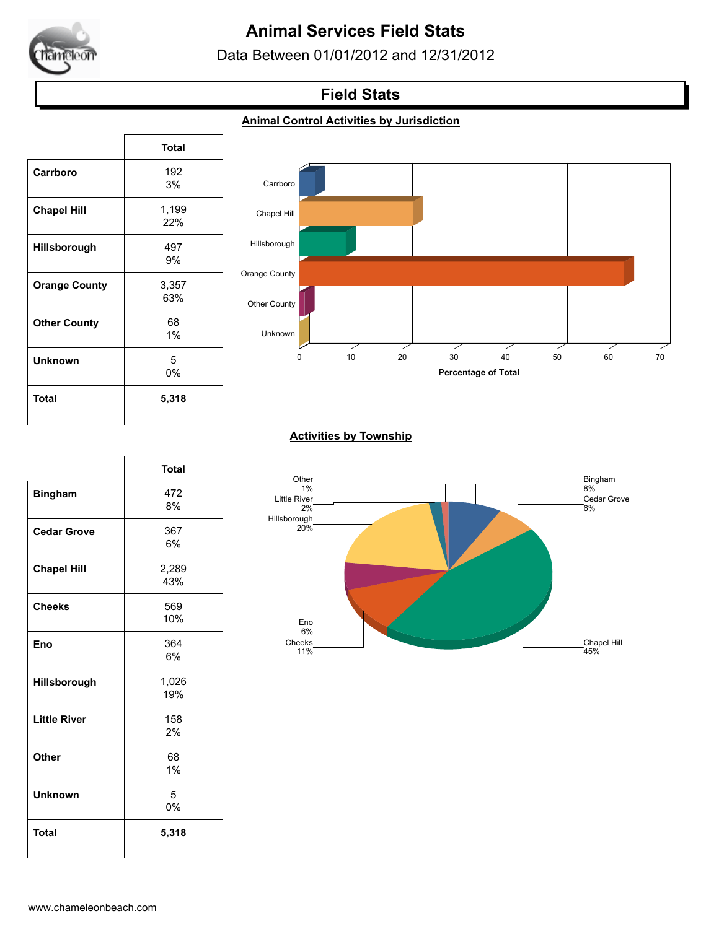

# **Animal Services Field Stats**

Data Between 01/01/2012 and 12/31/2012

## **Field Stats**

#### **Animal Control Activities by Jurisdiction**

|                      | <b>Total</b> |
|----------------------|--------------|
| Carrboro             | 192          |
|                      | 3%           |
| <b>Chapel Hill</b>   | 1,199        |
|                      | 22%          |
| Hillsborough         | 497          |
|                      | 9%           |
| <b>Orange County</b> | 3,357        |
|                      | 63%          |
| <b>Other County</b>  | 68           |
|                      | $1\%$        |
| <b>Unknown</b>       | 5            |
|                      | 0%           |
| Total                | 5,318        |
|                      |              |

 $\sqrt{ }$ 



#### **Activities by Township**



|                     | <b>Total</b> |
|---------------------|--------------|
| <b>Bingham</b>      | 472          |
|                     | 8%           |
| <b>Cedar Grove</b>  | 367          |
|                     | 6%           |
| <b>Chapel Hill</b>  | 2,289        |
|                     | 43%          |
| <b>Cheeks</b>       | 569          |
|                     | 10%          |
| Eno                 | 364          |
|                     | 6%           |
| Hillsborough        | 1,026        |
|                     | 19%          |
| <b>Little River</b> | 158          |
|                     | 2%           |
| Other               | 68           |
|                     | 1%           |
| <b>Unknown</b>      | 5            |
|                     | 0%           |
| <b>Total</b>        | 5,318        |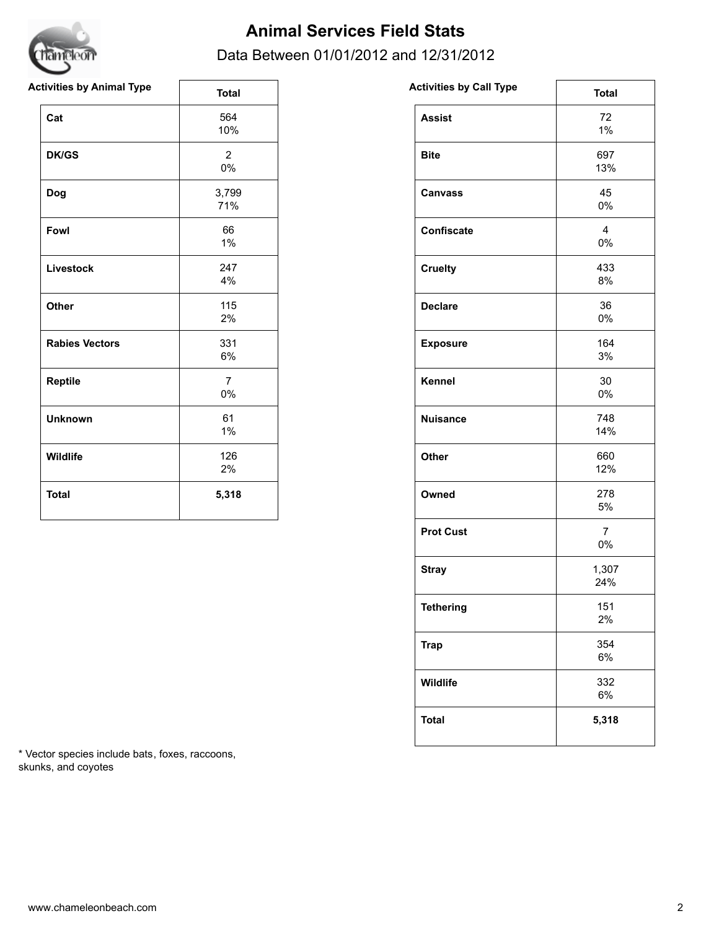

## **Animal Services Field Stats**

## Data Between 01/01/2012 and 12/31/2012

| <b>Activities by Animal Type</b> | <b>Total</b>            | <b>Activities by Call Type</b> | <b>Total</b>            |
|----------------------------------|-------------------------|--------------------------------|-------------------------|
| Cat                              | 564<br>10%              | <b>Assist</b>                  | 72<br>$1\%$             |
| <b>DK/GS</b>                     | $\overline{2}$<br>0%    | <b>Bite</b>                    | 697<br>13%              |
| Dog                              | 3,799<br>71%            | <b>Canvass</b>                 | 45<br>0%                |
| Fowl                             | 66<br>1%                | Confiscate                     | $\overline{4}$<br>$0\%$ |
| Livestock                        | 247<br>4%               | <b>Cruelty</b>                 | 433<br>8%               |
| Other                            | 115<br>2%               | <b>Declare</b>                 | 36<br>0%                |
| <b>Rabies Vectors</b>            | 331<br>6%               | <b>Exposure</b>                | 164<br>3%               |
| Reptile                          | $\overline{7}$<br>$0\%$ | Kennel                         | 30<br>0%                |
| <b>Unknown</b>                   | 61<br>$1\%$             | <b>Nuisance</b>                | 748<br>14%              |
| Wildlife                         | 126<br>2%               | Other                          | 660<br>12%              |
| <b>Total</b>                     | 5,318                   | Owned                          | 278<br>5%               |

| <b>Assist</b><br>72<br>1%<br>697<br><b>Bite</b><br>13%<br>45<br><b>Canvass</b><br>0%<br>4<br><b>Confiscate</b><br>0%<br>433<br><b>Cruelty</b><br>8%<br>36<br><b>Declare</b><br>0%<br>164<br><b>Exposure</b><br>3%<br>Kennel<br>30<br>0%<br>748<br><b>Nuisance</b><br>14%<br>660<br>Other<br>12%<br>278<br>Owned<br>5%<br><b>Prot Cust</b><br>7<br>0%<br>1,307<br><b>Stray</b><br>24%<br><b>Tethering</b><br>151<br>2%<br>354<br><b>Trap</b><br>6% | <b>Activities by Call Type</b> | <b>Total</b> |
|---------------------------------------------------------------------------------------------------------------------------------------------------------------------------------------------------------------------------------------------------------------------------------------------------------------------------------------------------------------------------------------------------------------------------------------------------|--------------------------------|--------------|
|                                                                                                                                                                                                                                                                                                                                                                                                                                                   |                                |              |
|                                                                                                                                                                                                                                                                                                                                                                                                                                                   |                                |              |
|                                                                                                                                                                                                                                                                                                                                                                                                                                                   |                                |              |
|                                                                                                                                                                                                                                                                                                                                                                                                                                                   |                                |              |
|                                                                                                                                                                                                                                                                                                                                                                                                                                                   |                                |              |
|                                                                                                                                                                                                                                                                                                                                                                                                                                                   |                                |              |
|                                                                                                                                                                                                                                                                                                                                                                                                                                                   |                                |              |
|                                                                                                                                                                                                                                                                                                                                                                                                                                                   |                                |              |
|                                                                                                                                                                                                                                                                                                                                                                                                                                                   |                                |              |
|                                                                                                                                                                                                                                                                                                                                                                                                                                                   |                                |              |
|                                                                                                                                                                                                                                                                                                                                                                                                                                                   |                                |              |
|                                                                                                                                                                                                                                                                                                                                                                                                                                                   |                                |              |
|                                                                                                                                                                                                                                                                                                                                                                                                                                                   |                                |              |
|                                                                                                                                                                                                                                                                                                                                                                                                                                                   |                                |              |
|                                                                                                                                                                                                                                                                                                                                                                                                                                                   |                                |              |
| 332<br>Wildlife<br>6%                                                                                                                                                                                                                                                                                                                                                                                                                             |                                |              |
| <b>Total</b><br>5,318                                                                                                                                                                                                                                                                                                                                                                                                                             |                                |              |

\* Vector species include bats, foxes, raccoons, skunks, and coyotes